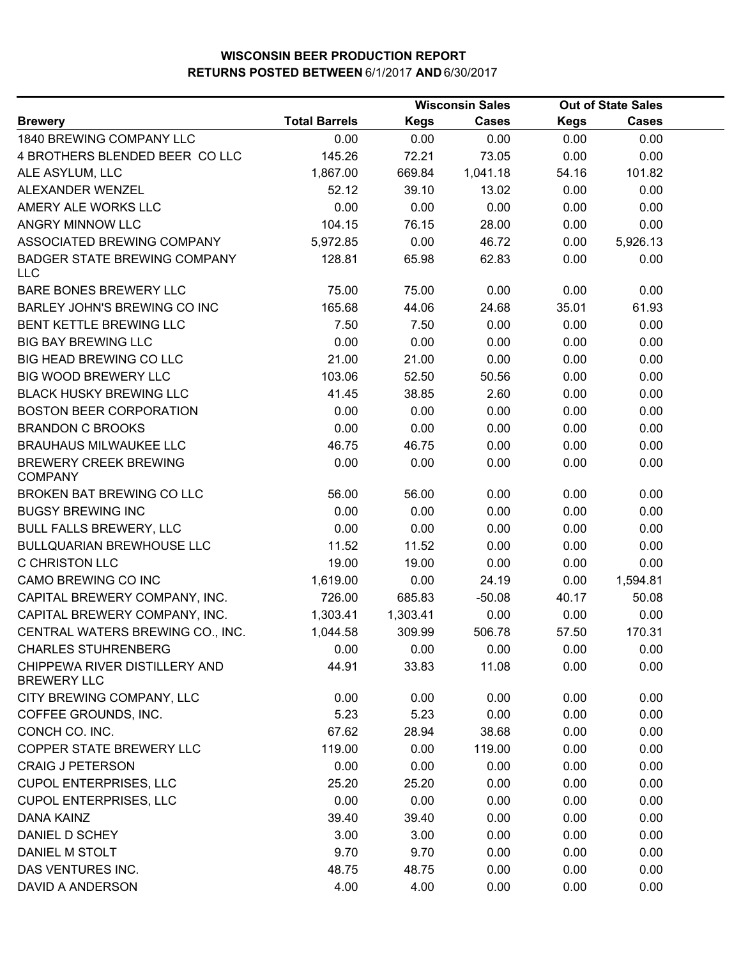|                                                     |                      |             | <b>Wisconsin Sales</b> |             | <b>Out of State Sales</b> |  |
|-----------------------------------------------------|----------------------|-------------|------------------------|-------------|---------------------------|--|
| <b>Brewery</b>                                      | <b>Total Barrels</b> | <b>Kegs</b> | <b>Cases</b>           | <b>Kegs</b> | <b>Cases</b>              |  |
| 1840 BREWING COMPANY LLC                            | 0.00                 | 0.00        | 0.00                   | 0.00        | 0.00                      |  |
| 4 BROTHERS BLENDED BEER COLLC                       | 145.26               | 72.21       | 73.05                  | 0.00        | 0.00                      |  |
| ALE ASYLUM, LLC                                     | 1,867.00             | 669.84      | 1,041.18               | 54.16       | 101.82                    |  |
| ALEXANDER WENZEL                                    | 52.12                | 39.10       | 13.02                  | 0.00        | 0.00                      |  |
| AMERY ALE WORKS LLC                                 | 0.00                 | 0.00        | 0.00                   | 0.00        | 0.00                      |  |
| ANGRY MINNOW LLC                                    | 104.15               | 76.15       | 28.00                  | 0.00        | 0.00                      |  |
| ASSOCIATED BREWING COMPANY                          | 5,972.85             | 0.00        | 46.72                  | 0.00        | 5,926.13                  |  |
| <b>BADGER STATE BREWING COMPANY</b><br><b>LLC</b>   | 128.81               | 65.98       | 62.83                  | 0.00        | 0.00                      |  |
| <b>BARE BONES BREWERY LLC</b>                       | 75.00                | 75.00       | 0.00                   | 0.00        | 0.00                      |  |
| BARLEY JOHN'S BREWING CO INC                        | 165.68               | 44.06       | 24.68                  | 35.01       | 61.93                     |  |
| BENT KETTLE BREWING LLC                             | 7.50                 | 7.50        | 0.00                   | 0.00        | 0.00                      |  |
| <b>BIG BAY BREWING LLC</b>                          | 0.00                 | 0.00        | 0.00                   | 0.00        | 0.00                      |  |
| BIG HEAD BREWING CO LLC                             | 21.00                | 21.00       | 0.00                   | 0.00        | 0.00                      |  |
| BIG WOOD BREWERY LLC                                | 103.06               | 52.50       | 50.56                  | 0.00        | 0.00                      |  |
| <b>BLACK HUSKY BREWING LLC</b>                      | 41.45                | 38.85       | 2.60                   | 0.00        | 0.00                      |  |
| <b>BOSTON BEER CORPORATION</b>                      | 0.00                 | 0.00        | 0.00                   | 0.00        | 0.00                      |  |
| <b>BRANDON C BROOKS</b>                             | 0.00                 | 0.00        | 0.00                   | 0.00        | 0.00                      |  |
| <b>BRAUHAUS MILWAUKEE LLC</b>                       | 46.75                | 46.75       | 0.00                   | 0.00        | 0.00                      |  |
| <b>BREWERY CREEK BREWING</b><br><b>COMPANY</b>      | 0.00                 | 0.00        | 0.00                   | 0.00        | 0.00                      |  |
| BROKEN BAT BREWING CO LLC                           | 56.00                | 56.00       | 0.00                   | 0.00        | 0.00                      |  |
| <b>BUGSY BREWING INC</b>                            | 0.00                 | 0.00        | 0.00                   | 0.00        | 0.00                      |  |
| <b>BULL FALLS BREWERY, LLC</b>                      | 0.00                 | 0.00        | 0.00                   | 0.00        | 0.00                      |  |
| <b>BULLQUARIAN BREWHOUSE LLC</b>                    | 11.52                | 11.52       | 0.00                   | 0.00        | 0.00                      |  |
| <b>C CHRISTON LLC</b>                               | 19.00                | 19.00       | 0.00                   | 0.00        | 0.00                      |  |
| CAMO BREWING CO INC                                 | 1,619.00             | 0.00        | 24.19                  | 0.00        | 1,594.81                  |  |
| CAPITAL BREWERY COMPANY, INC.                       | 726.00               | 685.83      | $-50.08$               | 40.17       | 50.08                     |  |
| CAPITAL BREWERY COMPANY, INC.                       | 1,303.41             | 1,303.41    | 0.00                   | 0.00        | 0.00                      |  |
| CENTRAL WATERS BREWING CO., INC.                    | 1,044.58             | 309.99      | 506.78                 | 57.50       | 170.31                    |  |
| <b>CHARLES STUHRENBERG</b>                          | 0.00                 | 0.00        | 0.00                   | 0.00        | 0.00                      |  |
| CHIPPEWA RIVER DISTILLERY AND<br><b>BREWERY LLC</b> | 44.91                | 33.83       | 11.08                  | 0.00        | 0.00                      |  |
| CITY BREWING COMPANY, LLC                           | 0.00                 | 0.00        | 0.00                   | 0.00        | 0.00                      |  |
| COFFEE GROUNDS, INC.                                | 5.23                 | 5.23        | 0.00                   | 0.00        | 0.00                      |  |
| CONCH CO. INC.                                      | 67.62                | 28.94       | 38.68                  | 0.00        | 0.00                      |  |
| COPPER STATE BREWERY LLC                            | 119.00               | 0.00        | 119.00                 | 0.00        | 0.00                      |  |
| <b>CRAIG J PETERSON</b>                             | 0.00                 | 0.00        | 0.00                   | 0.00        | 0.00                      |  |
| <b>CUPOL ENTERPRISES, LLC</b>                       | 25.20                | 25.20       | 0.00                   | 0.00        | 0.00                      |  |
| <b>CUPOL ENTERPRISES, LLC</b>                       | 0.00                 | 0.00        | 0.00                   | 0.00        | 0.00                      |  |
| <b>DANA KAINZ</b>                                   | 39.40                | 39.40       | 0.00                   | 0.00        | 0.00                      |  |
| DANIEL D SCHEY                                      | 3.00                 | 3.00        | 0.00                   | 0.00        | 0.00                      |  |
| DANIEL M STOLT                                      | 9.70                 | 9.70        | 0.00                   | 0.00        | 0.00                      |  |
| DAS VENTURES INC.                                   | 48.75                | 48.75       | 0.00                   | 0.00        | 0.00                      |  |
| DAVID A ANDERSON                                    | 4.00                 | 4.00        | 0.00                   | 0.00        | 0.00                      |  |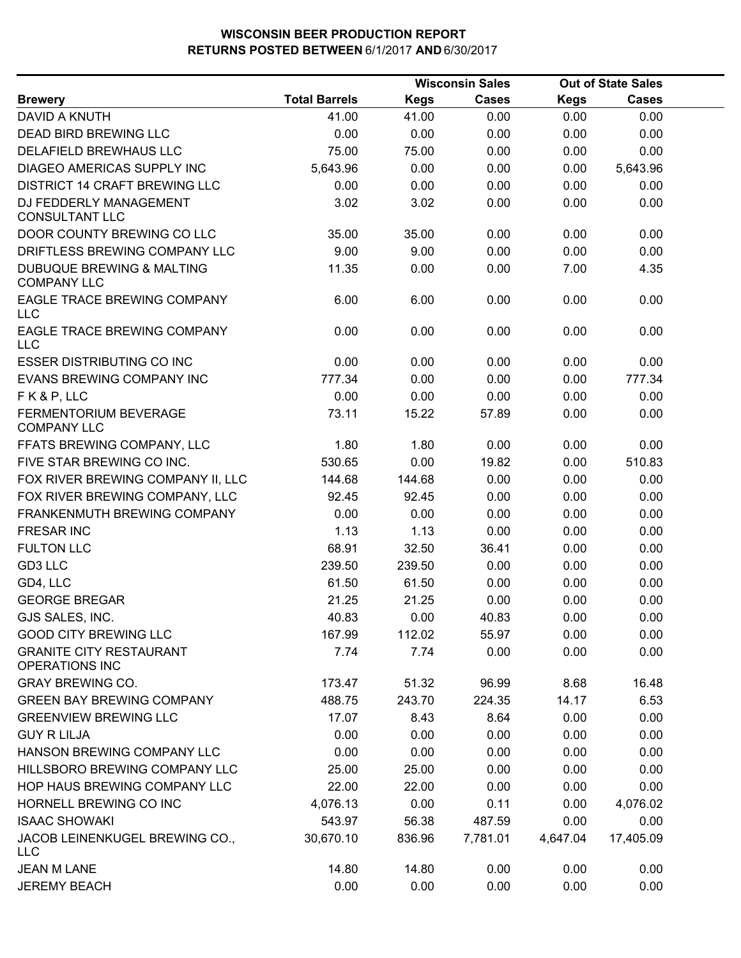| <b>Total Barrels</b><br><b>Kegs</b><br><b>Cases</b><br><b>Kegs</b><br><b>Cases</b><br><b>Brewery</b><br>41.00<br>0.00<br>0.00<br>DAVID A KNUTH<br>41.00<br>0.00<br>DEAD BIRD BREWING LLC<br>0.00<br>0.00<br>0.00<br>0.00<br>0.00<br>0.00<br>DELAFIELD BREWHAUS LLC<br>75.00<br>75.00<br>0.00<br>0.00<br>5,643.96<br>DIAGEO AMERICAS SUPPLY INC<br>0.00<br>0.00<br>0.00<br>5,643.96<br><b>DISTRICT 14 CRAFT BREWING LLC</b><br>0.00<br>0.00<br>0.00<br>0.00<br>0.00<br>DJ FEDDERLY MANAGEMENT<br>3.02<br>3.02<br>0.00<br>0.00<br>0.00<br><b>CONSULTANT LLC</b><br>DOOR COUNTY BREWING CO LLC<br>35.00<br>35.00<br>0.00<br>0.00<br>0.00<br>DRIFTLESS BREWING COMPANY LLC<br>9.00<br>9.00<br>0.00<br>0.00<br>0.00<br>DUBUQUE BREWING & MALTING<br>11.35<br>0.00<br>0.00<br>7.00<br>4.35<br><b>COMPANY LLC</b><br>EAGLE TRACE BREWING COMPANY<br>6.00<br>6.00<br>0.00<br>0.00<br>0.00<br><b>LLC</b><br>EAGLE TRACE BREWING COMPANY<br>0.00<br>0.00<br>0.00<br>0.00<br>0.00<br><b>LLC</b><br><b>ESSER DISTRIBUTING CO INC</b><br>0.00<br>0.00<br>0.00<br>0.00<br>0.00<br>777.34<br>777.34<br>EVANS BREWING COMPANY INC<br>0.00<br>0.00<br>0.00<br>FK&P, LLC<br>0.00<br>0.00<br>0.00<br>0.00<br>0.00<br>FERMENTORIUM BEVERAGE<br>73.11<br>15.22<br>57.89<br>0.00<br>0.00<br><b>COMPANY LLC</b><br>FFATS BREWING COMPANY, LLC<br>1.80<br>0.00<br>0.00<br>0.00<br>1.80<br>19.82<br>0.00<br>FIVE STAR BREWING CO INC.<br>530.65<br>0.00<br>510.83<br>FOX RIVER BREWING COMPANY II, LLC<br>144.68<br>0.00<br>0.00<br>0.00<br>144.68<br>FOX RIVER BREWING COMPANY, LLC<br>92.45<br>0.00<br>0.00<br>0.00<br>92.45<br>0.00<br>FRANKENMUTH BREWING COMPANY<br>0.00<br>0.00<br>0.00<br>0.00<br><b>FRESAR INC</b><br>1.13<br>1.13<br>0.00<br>0.00<br>0.00<br><b>FULTON LLC</b><br>68.91<br>32.50<br>36.41<br>0.00<br>0.00<br>GD3 LLC<br>239.50<br>239.50<br>0.00<br>0.00<br>0.00<br>GD4, LLC<br>61.50<br>61.50<br>0.00<br>0.00<br>0.00<br>0.00<br>0.00<br>0.00<br><b>GEORGE BREGAR</b><br>21.25<br>21.25<br>40.83<br>40.83<br>0.00<br>0.00<br>GJS SALES, INC.<br>0.00<br><b>GOOD CITY BREWING LLC</b><br>167.99<br>112.02<br>55.97<br>0.00<br>0.00<br><b>GRANITE CITY RESTAURANT</b><br>0.00<br>7.74<br>7.74<br>0.00<br>0.00<br>OPERATIONS INC<br><b>GRAY BREWING CO.</b><br>16.48<br>173.47<br>51.32<br>96.99<br>8.68<br><b>GREEN BAY BREWING COMPANY</b><br>14.17<br>6.53<br>488.75<br>243.70<br>224.35<br>0.00<br><b>GREENVIEW BREWING LLC</b><br>17.07<br>8.43<br>8.64<br>0.00<br>0.00<br>0.00<br>0.00<br>0.00<br>0.00<br><b>GUY R LILJA</b><br>HANSON BREWING COMPANY LLC<br>0.00<br>0.00<br>0.00<br>0.00<br>0.00 | <b>Wisconsin Sales</b> |  |  | <b>Out of State Sales</b> |  |  |
|--------------------------------------------------------------------------------------------------------------------------------------------------------------------------------------------------------------------------------------------------------------------------------------------------------------------------------------------------------------------------------------------------------------------------------------------------------------------------------------------------------------------------------------------------------------------------------------------------------------------------------------------------------------------------------------------------------------------------------------------------------------------------------------------------------------------------------------------------------------------------------------------------------------------------------------------------------------------------------------------------------------------------------------------------------------------------------------------------------------------------------------------------------------------------------------------------------------------------------------------------------------------------------------------------------------------------------------------------------------------------------------------------------------------------------------------------------------------------------------------------------------------------------------------------------------------------------------------------------------------------------------------------------------------------------------------------------------------------------------------------------------------------------------------------------------------------------------------------------------------------------------------------------------------------------------------------------------------------------------------------------------------------------------------------------------------------------------------------------------------------------------------------------------------------------------------------------------------------------------------------------------------------------------------------------------------------------------------------------------------------------------------------------------------------------------------------------------------------------------------------------------------------------------------------------------------------------------------------------|------------------------|--|--|---------------------------|--|--|
|                                                                                                                                                                                                                                                                                                                                                                                                                                                                                                                                                                                                                                                                                                                                                                                                                                                                                                                                                                                                                                                                                                                                                                                                                                                                                                                                                                                                                                                                                                                                                                                                                                                                                                                                                                                                                                                                                                                                                                                                                                                                                                                                                                                                                                                                                                                                                                                                                                                                                                                                                                                                        |                        |  |  |                           |  |  |
|                                                                                                                                                                                                                                                                                                                                                                                                                                                                                                                                                                                                                                                                                                                                                                                                                                                                                                                                                                                                                                                                                                                                                                                                                                                                                                                                                                                                                                                                                                                                                                                                                                                                                                                                                                                                                                                                                                                                                                                                                                                                                                                                                                                                                                                                                                                                                                                                                                                                                                                                                                                                        |                        |  |  |                           |  |  |
|                                                                                                                                                                                                                                                                                                                                                                                                                                                                                                                                                                                                                                                                                                                                                                                                                                                                                                                                                                                                                                                                                                                                                                                                                                                                                                                                                                                                                                                                                                                                                                                                                                                                                                                                                                                                                                                                                                                                                                                                                                                                                                                                                                                                                                                                                                                                                                                                                                                                                                                                                                                                        |                        |  |  |                           |  |  |
|                                                                                                                                                                                                                                                                                                                                                                                                                                                                                                                                                                                                                                                                                                                                                                                                                                                                                                                                                                                                                                                                                                                                                                                                                                                                                                                                                                                                                                                                                                                                                                                                                                                                                                                                                                                                                                                                                                                                                                                                                                                                                                                                                                                                                                                                                                                                                                                                                                                                                                                                                                                                        |                        |  |  |                           |  |  |
|                                                                                                                                                                                                                                                                                                                                                                                                                                                                                                                                                                                                                                                                                                                                                                                                                                                                                                                                                                                                                                                                                                                                                                                                                                                                                                                                                                                                                                                                                                                                                                                                                                                                                                                                                                                                                                                                                                                                                                                                                                                                                                                                                                                                                                                                                                                                                                                                                                                                                                                                                                                                        |                        |  |  |                           |  |  |
|                                                                                                                                                                                                                                                                                                                                                                                                                                                                                                                                                                                                                                                                                                                                                                                                                                                                                                                                                                                                                                                                                                                                                                                                                                                                                                                                                                                                                                                                                                                                                                                                                                                                                                                                                                                                                                                                                                                                                                                                                                                                                                                                                                                                                                                                                                                                                                                                                                                                                                                                                                                                        |                        |  |  |                           |  |  |
|                                                                                                                                                                                                                                                                                                                                                                                                                                                                                                                                                                                                                                                                                                                                                                                                                                                                                                                                                                                                                                                                                                                                                                                                                                                                                                                                                                                                                                                                                                                                                                                                                                                                                                                                                                                                                                                                                                                                                                                                                                                                                                                                                                                                                                                                                                                                                                                                                                                                                                                                                                                                        |                        |  |  |                           |  |  |
|                                                                                                                                                                                                                                                                                                                                                                                                                                                                                                                                                                                                                                                                                                                                                                                                                                                                                                                                                                                                                                                                                                                                                                                                                                                                                                                                                                                                                                                                                                                                                                                                                                                                                                                                                                                                                                                                                                                                                                                                                                                                                                                                                                                                                                                                                                                                                                                                                                                                                                                                                                                                        |                        |  |  |                           |  |  |
|                                                                                                                                                                                                                                                                                                                                                                                                                                                                                                                                                                                                                                                                                                                                                                                                                                                                                                                                                                                                                                                                                                                                                                                                                                                                                                                                                                                                                                                                                                                                                                                                                                                                                                                                                                                                                                                                                                                                                                                                                                                                                                                                                                                                                                                                                                                                                                                                                                                                                                                                                                                                        |                        |  |  |                           |  |  |
|                                                                                                                                                                                                                                                                                                                                                                                                                                                                                                                                                                                                                                                                                                                                                                                                                                                                                                                                                                                                                                                                                                                                                                                                                                                                                                                                                                                                                                                                                                                                                                                                                                                                                                                                                                                                                                                                                                                                                                                                                                                                                                                                                                                                                                                                                                                                                                                                                                                                                                                                                                                                        |                        |  |  |                           |  |  |
|                                                                                                                                                                                                                                                                                                                                                                                                                                                                                                                                                                                                                                                                                                                                                                                                                                                                                                                                                                                                                                                                                                                                                                                                                                                                                                                                                                                                                                                                                                                                                                                                                                                                                                                                                                                                                                                                                                                                                                                                                                                                                                                                                                                                                                                                                                                                                                                                                                                                                                                                                                                                        |                        |  |  |                           |  |  |
|                                                                                                                                                                                                                                                                                                                                                                                                                                                                                                                                                                                                                                                                                                                                                                                                                                                                                                                                                                                                                                                                                                                                                                                                                                                                                                                                                                                                                                                                                                                                                                                                                                                                                                                                                                                                                                                                                                                                                                                                                                                                                                                                                                                                                                                                                                                                                                                                                                                                                                                                                                                                        |                        |  |  |                           |  |  |
|                                                                                                                                                                                                                                                                                                                                                                                                                                                                                                                                                                                                                                                                                                                                                                                                                                                                                                                                                                                                                                                                                                                                                                                                                                                                                                                                                                                                                                                                                                                                                                                                                                                                                                                                                                                                                                                                                                                                                                                                                                                                                                                                                                                                                                                                                                                                                                                                                                                                                                                                                                                                        |                        |  |  |                           |  |  |
|                                                                                                                                                                                                                                                                                                                                                                                                                                                                                                                                                                                                                                                                                                                                                                                                                                                                                                                                                                                                                                                                                                                                                                                                                                                                                                                                                                                                                                                                                                                                                                                                                                                                                                                                                                                                                                                                                                                                                                                                                                                                                                                                                                                                                                                                                                                                                                                                                                                                                                                                                                                                        |                        |  |  |                           |  |  |
|                                                                                                                                                                                                                                                                                                                                                                                                                                                                                                                                                                                                                                                                                                                                                                                                                                                                                                                                                                                                                                                                                                                                                                                                                                                                                                                                                                                                                                                                                                                                                                                                                                                                                                                                                                                                                                                                                                                                                                                                                                                                                                                                                                                                                                                                                                                                                                                                                                                                                                                                                                                                        |                        |  |  |                           |  |  |
|                                                                                                                                                                                                                                                                                                                                                                                                                                                                                                                                                                                                                                                                                                                                                                                                                                                                                                                                                                                                                                                                                                                                                                                                                                                                                                                                                                                                                                                                                                                                                                                                                                                                                                                                                                                                                                                                                                                                                                                                                                                                                                                                                                                                                                                                                                                                                                                                                                                                                                                                                                                                        |                        |  |  |                           |  |  |
|                                                                                                                                                                                                                                                                                                                                                                                                                                                                                                                                                                                                                                                                                                                                                                                                                                                                                                                                                                                                                                                                                                                                                                                                                                                                                                                                                                                                                                                                                                                                                                                                                                                                                                                                                                                                                                                                                                                                                                                                                                                                                                                                                                                                                                                                                                                                                                                                                                                                                                                                                                                                        |                        |  |  |                           |  |  |
|                                                                                                                                                                                                                                                                                                                                                                                                                                                                                                                                                                                                                                                                                                                                                                                                                                                                                                                                                                                                                                                                                                                                                                                                                                                                                                                                                                                                                                                                                                                                                                                                                                                                                                                                                                                                                                                                                                                                                                                                                                                                                                                                                                                                                                                                                                                                                                                                                                                                                                                                                                                                        |                        |  |  |                           |  |  |
|                                                                                                                                                                                                                                                                                                                                                                                                                                                                                                                                                                                                                                                                                                                                                                                                                                                                                                                                                                                                                                                                                                                                                                                                                                                                                                                                                                                                                                                                                                                                                                                                                                                                                                                                                                                                                                                                                                                                                                                                                                                                                                                                                                                                                                                                                                                                                                                                                                                                                                                                                                                                        |                        |  |  |                           |  |  |
|                                                                                                                                                                                                                                                                                                                                                                                                                                                                                                                                                                                                                                                                                                                                                                                                                                                                                                                                                                                                                                                                                                                                                                                                                                                                                                                                                                                                                                                                                                                                                                                                                                                                                                                                                                                                                                                                                                                                                                                                                                                                                                                                                                                                                                                                                                                                                                                                                                                                                                                                                                                                        |                        |  |  |                           |  |  |
|                                                                                                                                                                                                                                                                                                                                                                                                                                                                                                                                                                                                                                                                                                                                                                                                                                                                                                                                                                                                                                                                                                                                                                                                                                                                                                                                                                                                                                                                                                                                                                                                                                                                                                                                                                                                                                                                                                                                                                                                                                                                                                                                                                                                                                                                                                                                                                                                                                                                                                                                                                                                        |                        |  |  |                           |  |  |
|                                                                                                                                                                                                                                                                                                                                                                                                                                                                                                                                                                                                                                                                                                                                                                                                                                                                                                                                                                                                                                                                                                                                                                                                                                                                                                                                                                                                                                                                                                                                                                                                                                                                                                                                                                                                                                                                                                                                                                                                                                                                                                                                                                                                                                                                                                                                                                                                                                                                                                                                                                                                        |                        |  |  |                           |  |  |
|                                                                                                                                                                                                                                                                                                                                                                                                                                                                                                                                                                                                                                                                                                                                                                                                                                                                                                                                                                                                                                                                                                                                                                                                                                                                                                                                                                                                                                                                                                                                                                                                                                                                                                                                                                                                                                                                                                                                                                                                                                                                                                                                                                                                                                                                                                                                                                                                                                                                                                                                                                                                        |                        |  |  |                           |  |  |
|                                                                                                                                                                                                                                                                                                                                                                                                                                                                                                                                                                                                                                                                                                                                                                                                                                                                                                                                                                                                                                                                                                                                                                                                                                                                                                                                                                                                                                                                                                                                                                                                                                                                                                                                                                                                                                                                                                                                                                                                                                                                                                                                                                                                                                                                                                                                                                                                                                                                                                                                                                                                        |                        |  |  |                           |  |  |
|                                                                                                                                                                                                                                                                                                                                                                                                                                                                                                                                                                                                                                                                                                                                                                                                                                                                                                                                                                                                                                                                                                                                                                                                                                                                                                                                                                                                                                                                                                                                                                                                                                                                                                                                                                                                                                                                                                                                                                                                                                                                                                                                                                                                                                                                                                                                                                                                                                                                                                                                                                                                        |                        |  |  |                           |  |  |
|                                                                                                                                                                                                                                                                                                                                                                                                                                                                                                                                                                                                                                                                                                                                                                                                                                                                                                                                                                                                                                                                                                                                                                                                                                                                                                                                                                                                                                                                                                                                                                                                                                                                                                                                                                                                                                                                                                                                                                                                                                                                                                                                                                                                                                                                                                                                                                                                                                                                                                                                                                                                        |                        |  |  |                           |  |  |
|                                                                                                                                                                                                                                                                                                                                                                                                                                                                                                                                                                                                                                                                                                                                                                                                                                                                                                                                                                                                                                                                                                                                                                                                                                                                                                                                                                                                                                                                                                                                                                                                                                                                                                                                                                                                                                                                                                                                                                                                                                                                                                                                                                                                                                                                                                                                                                                                                                                                                                                                                                                                        |                        |  |  |                           |  |  |
|                                                                                                                                                                                                                                                                                                                                                                                                                                                                                                                                                                                                                                                                                                                                                                                                                                                                                                                                                                                                                                                                                                                                                                                                                                                                                                                                                                                                                                                                                                                                                                                                                                                                                                                                                                                                                                                                                                                                                                                                                                                                                                                                                                                                                                                                                                                                                                                                                                                                                                                                                                                                        |                        |  |  |                           |  |  |
|                                                                                                                                                                                                                                                                                                                                                                                                                                                                                                                                                                                                                                                                                                                                                                                                                                                                                                                                                                                                                                                                                                                                                                                                                                                                                                                                                                                                                                                                                                                                                                                                                                                                                                                                                                                                                                                                                                                                                                                                                                                                                                                                                                                                                                                                                                                                                                                                                                                                                                                                                                                                        |                        |  |  |                           |  |  |
|                                                                                                                                                                                                                                                                                                                                                                                                                                                                                                                                                                                                                                                                                                                                                                                                                                                                                                                                                                                                                                                                                                                                                                                                                                                                                                                                                                                                                                                                                                                                                                                                                                                                                                                                                                                                                                                                                                                                                                                                                                                                                                                                                                                                                                                                                                                                                                                                                                                                                                                                                                                                        |                        |  |  |                           |  |  |
|                                                                                                                                                                                                                                                                                                                                                                                                                                                                                                                                                                                                                                                                                                                                                                                                                                                                                                                                                                                                                                                                                                                                                                                                                                                                                                                                                                                                                                                                                                                                                                                                                                                                                                                                                                                                                                                                                                                                                                                                                                                                                                                                                                                                                                                                                                                                                                                                                                                                                                                                                                                                        |                        |  |  |                           |  |  |
|                                                                                                                                                                                                                                                                                                                                                                                                                                                                                                                                                                                                                                                                                                                                                                                                                                                                                                                                                                                                                                                                                                                                                                                                                                                                                                                                                                                                                                                                                                                                                                                                                                                                                                                                                                                                                                                                                                                                                                                                                                                                                                                                                                                                                                                                                                                                                                                                                                                                                                                                                                                                        |                        |  |  |                           |  |  |
|                                                                                                                                                                                                                                                                                                                                                                                                                                                                                                                                                                                                                                                                                                                                                                                                                                                                                                                                                                                                                                                                                                                                                                                                                                                                                                                                                                                                                                                                                                                                                                                                                                                                                                                                                                                                                                                                                                                                                                                                                                                                                                                                                                                                                                                                                                                                                                                                                                                                                                                                                                                                        |                        |  |  |                           |  |  |
|                                                                                                                                                                                                                                                                                                                                                                                                                                                                                                                                                                                                                                                                                                                                                                                                                                                                                                                                                                                                                                                                                                                                                                                                                                                                                                                                                                                                                                                                                                                                                                                                                                                                                                                                                                                                                                                                                                                                                                                                                                                                                                                                                                                                                                                                                                                                                                                                                                                                                                                                                                                                        |                        |  |  |                           |  |  |
| HILLSBORO BREWING COMPANY LLC<br>25.00<br>25.00<br>0.00<br>0.00<br>0.00                                                                                                                                                                                                                                                                                                                                                                                                                                                                                                                                                                                                                                                                                                                                                                                                                                                                                                                                                                                                                                                                                                                                                                                                                                                                                                                                                                                                                                                                                                                                                                                                                                                                                                                                                                                                                                                                                                                                                                                                                                                                                                                                                                                                                                                                                                                                                                                                                                                                                                                                |                        |  |  |                           |  |  |
| HOP HAUS BREWING COMPANY LLC<br>22.00<br>22.00<br>0.00<br>0.00<br>0.00                                                                                                                                                                                                                                                                                                                                                                                                                                                                                                                                                                                                                                                                                                                                                                                                                                                                                                                                                                                                                                                                                                                                                                                                                                                                                                                                                                                                                                                                                                                                                                                                                                                                                                                                                                                                                                                                                                                                                                                                                                                                                                                                                                                                                                                                                                                                                                                                                                                                                                                                 |                        |  |  |                           |  |  |
| 0.00<br>HORNELL BREWING CO INC<br>0.11<br>0.00<br>4,076.02<br>4,076.13                                                                                                                                                                                                                                                                                                                                                                                                                                                                                                                                                                                                                                                                                                                                                                                                                                                                                                                                                                                                                                                                                                                                                                                                                                                                                                                                                                                                                                                                                                                                                                                                                                                                                                                                                                                                                                                                                                                                                                                                                                                                                                                                                                                                                                                                                                                                                                                                                                                                                                                                 |                        |  |  |                           |  |  |
| <b>ISAAC SHOWAKI</b><br>543.97<br>56.38<br>487.59<br>0.00<br>0.00                                                                                                                                                                                                                                                                                                                                                                                                                                                                                                                                                                                                                                                                                                                                                                                                                                                                                                                                                                                                                                                                                                                                                                                                                                                                                                                                                                                                                                                                                                                                                                                                                                                                                                                                                                                                                                                                                                                                                                                                                                                                                                                                                                                                                                                                                                                                                                                                                                                                                                                                      |                        |  |  |                           |  |  |
| JACOB LEINENKUGEL BREWING CO.,<br>17,405.09<br>30,670.10<br>836.96<br>7,781.01<br>4,647.04<br><b>LLC</b>                                                                                                                                                                                                                                                                                                                                                                                                                                                                                                                                                                                                                                                                                                                                                                                                                                                                                                                                                                                                                                                                                                                                                                                                                                                                                                                                                                                                                                                                                                                                                                                                                                                                                                                                                                                                                                                                                                                                                                                                                                                                                                                                                                                                                                                                                                                                                                                                                                                                                               |                        |  |  |                           |  |  |
| 14.80<br>14.80<br>0.00<br>0.00<br>0.00<br><b>JEAN M LANE</b>                                                                                                                                                                                                                                                                                                                                                                                                                                                                                                                                                                                                                                                                                                                                                                                                                                                                                                                                                                                                                                                                                                                                                                                                                                                                                                                                                                                                                                                                                                                                                                                                                                                                                                                                                                                                                                                                                                                                                                                                                                                                                                                                                                                                                                                                                                                                                                                                                                                                                                                                           |                        |  |  |                           |  |  |
| 0.00<br><b>JEREMY BEACH</b><br>0.00<br>0.00<br>0.00<br>0.00                                                                                                                                                                                                                                                                                                                                                                                                                                                                                                                                                                                                                                                                                                                                                                                                                                                                                                                                                                                                                                                                                                                                                                                                                                                                                                                                                                                                                                                                                                                                                                                                                                                                                                                                                                                                                                                                                                                                                                                                                                                                                                                                                                                                                                                                                                                                                                                                                                                                                                                                            |                        |  |  |                           |  |  |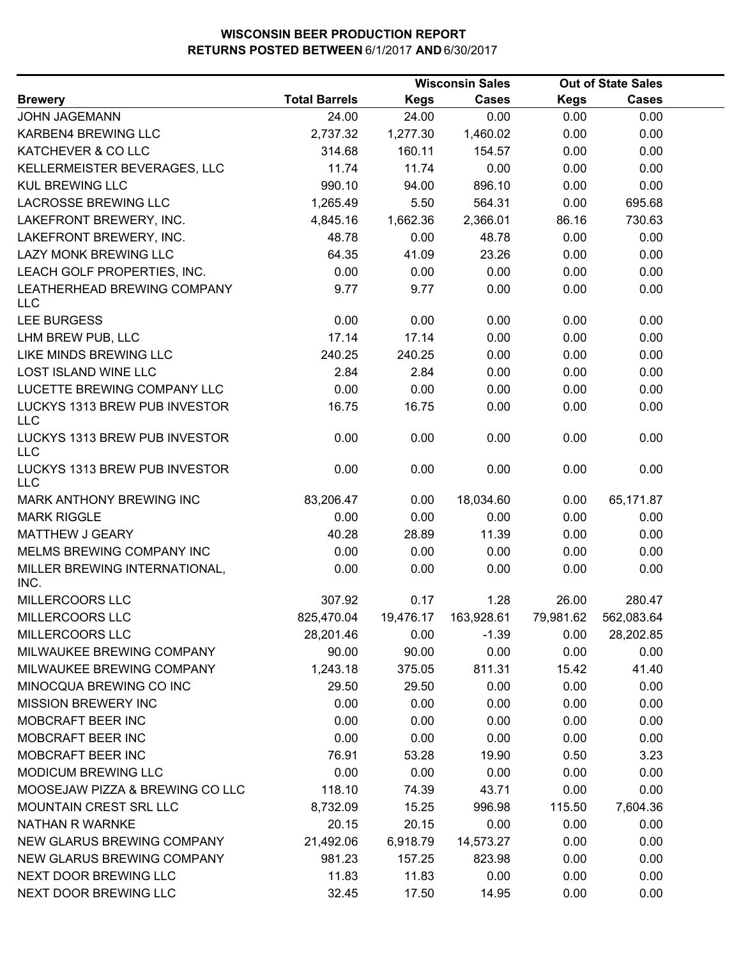|                                             |                      |             | <b>Wisconsin Sales</b> |             | <b>Out of State Sales</b> |  |
|---------------------------------------------|----------------------|-------------|------------------------|-------------|---------------------------|--|
| <b>Brewery</b>                              | <b>Total Barrels</b> | <b>Kegs</b> | <b>Cases</b>           | <b>Kegs</b> | <b>Cases</b>              |  |
| <b>JOHN JAGEMANN</b>                        | 24.00                | 24.00       | 0.00                   | 0.00        | 0.00                      |  |
| KARBEN4 BREWING LLC                         | 2,737.32             | 1,277.30    | 1,460.02               | 0.00        | 0.00                      |  |
| KATCHEVER & CO LLC                          | 314.68               | 160.11      | 154.57                 | 0.00        | 0.00                      |  |
| KELLERMEISTER BEVERAGES, LLC                | 11.74                | 11.74       | 0.00                   | 0.00        | 0.00                      |  |
| <b>KUL BREWING LLC</b>                      | 990.10               | 94.00       | 896.10                 | 0.00        | 0.00                      |  |
| <b>LACROSSE BREWING LLC</b>                 | 1,265.49             | 5.50        | 564.31                 | 0.00        | 695.68                    |  |
| LAKEFRONT BREWERY, INC.                     | 4,845.16             | 1,662.36    | 2,366.01               | 86.16       | 730.63                    |  |
| LAKEFRONT BREWERY, INC.                     | 48.78                | 0.00        | 48.78                  | 0.00        | 0.00                      |  |
| LAZY MONK BREWING LLC                       | 64.35                | 41.09       | 23.26                  | 0.00        | 0.00                      |  |
| LEACH GOLF PROPERTIES, INC.                 | 0.00                 | 0.00        | 0.00                   | 0.00        | 0.00                      |  |
| LEATHERHEAD BREWING COMPANY<br><b>LLC</b>   | 9.77                 | 9.77        | 0.00                   | 0.00        | 0.00                      |  |
| <b>LEE BURGESS</b>                          | 0.00                 | 0.00        | 0.00                   | 0.00        | 0.00                      |  |
| LHM BREW PUB, LLC                           | 17.14                | 17.14       | 0.00                   | 0.00        | 0.00                      |  |
| LIKE MINDS BREWING LLC                      | 240.25               | 240.25      | 0.00                   | 0.00        | 0.00                      |  |
| <b>LOST ISLAND WINE LLC</b>                 | 2.84                 | 2.84        | 0.00                   | 0.00        | 0.00                      |  |
| LUCETTE BREWING COMPANY LLC                 | 0.00                 | 0.00        | 0.00                   | 0.00        | 0.00                      |  |
| LUCKYS 1313 BREW PUB INVESTOR<br><b>LLC</b> | 16.75                | 16.75       | 0.00                   | 0.00        | 0.00                      |  |
| LUCKYS 1313 BREW PUB INVESTOR<br>LLC        | 0.00                 | 0.00        | 0.00                   | 0.00        | 0.00                      |  |
| LUCKYS 1313 BREW PUB INVESTOR<br><b>LLC</b> | 0.00                 | 0.00        | 0.00                   | 0.00        | 0.00                      |  |
| MARK ANTHONY BREWING INC                    | 83,206.47            | 0.00        | 18,034.60              | 0.00        | 65,171.87                 |  |
| <b>MARK RIGGLE</b>                          | 0.00                 | 0.00        | 0.00                   | 0.00        | 0.00                      |  |
| <b>MATTHEW J GEARY</b>                      | 40.28                | 28.89       | 11.39                  | 0.00        | 0.00                      |  |
| MELMS BREWING COMPANY INC                   | 0.00                 | 0.00        | 0.00                   | 0.00        | 0.00                      |  |
| MILLER BREWING INTERNATIONAL,<br>INC.       | 0.00                 | 0.00        | 0.00                   | 0.00        | 0.00                      |  |
| MILLERCOORS LLC                             | 307.92               | 0.17        | 1.28                   | 26.00       | 280.47                    |  |
| MILLERCOORS LLC                             | 825,470.04           | 19,476.17   | 163,928.61             | 79,981.62   | 562,083.64                |  |
| <b>MILLERCOORS LLC</b>                      | 28,201.46            | 0.00        | $-1.39$                | 0.00        | 28,202.85                 |  |
| MILWAUKEE BREWING COMPANY                   | 90.00                | 90.00       | 0.00                   | 0.00        | 0.00                      |  |
| MILWAUKEE BREWING COMPANY                   | 1,243.18             | 375.05      | 811.31                 | 15.42       | 41.40                     |  |
| MINOCQUA BREWING CO INC                     | 29.50                | 29.50       | 0.00                   | 0.00        | 0.00                      |  |
| <b>MISSION BREWERY INC</b>                  | 0.00                 | 0.00        | 0.00                   | 0.00        | 0.00                      |  |
| MOBCRAFT BEER INC                           | 0.00                 | 0.00        | 0.00                   | 0.00        | 0.00                      |  |
| MOBCRAFT BEER INC                           | 0.00                 | 0.00        | 0.00                   | 0.00        | 0.00                      |  |
| MOBCRAFT BEER INC                           | 76.91                | 53.28       | 19.90                  | 0.50        | 3.23                      |  |
| MODICUM BREWING LLC                         | 0.00                 | 0.00        | 0.00                   | 0.00        | 0.00                      |  |
| MOOSEJAW PIZZA & BREWING CO LLC             | 118.10               | 74.39       | 43.71                  | 0.00        | 0.00                      |  |
| MOUNTAIN CREST SRL LLC                      | 8,732.09             | 15.25       | 996.98                 | 115.50      | 7,604.36                  |  |
| NATHAN R WARNKE                             | 20.15                | 20.15       | 0.00                   | 0.00        | 0.00                      |  |
| NEW GLARUS BREWING COMPANY                  | 21,492.06            | 6,918.79    | 14,573.27              | 0.00        | 0.00                      |  |
| NEW GLARUS BREWING COMPANY                  | 981.23               | 157.25      | 823.98                 | 0.00        | 0.00                      |  |
| NEXT DOOR BREWING LLC                       | 11.83                | 11.83       | 0.00                   | 0.00        | 0.00                      |  |
| NEXT DOOR BREWING LLC                       | 32.45                | 17.50       | 14.95                  | 0.00        | 0.00                      |  |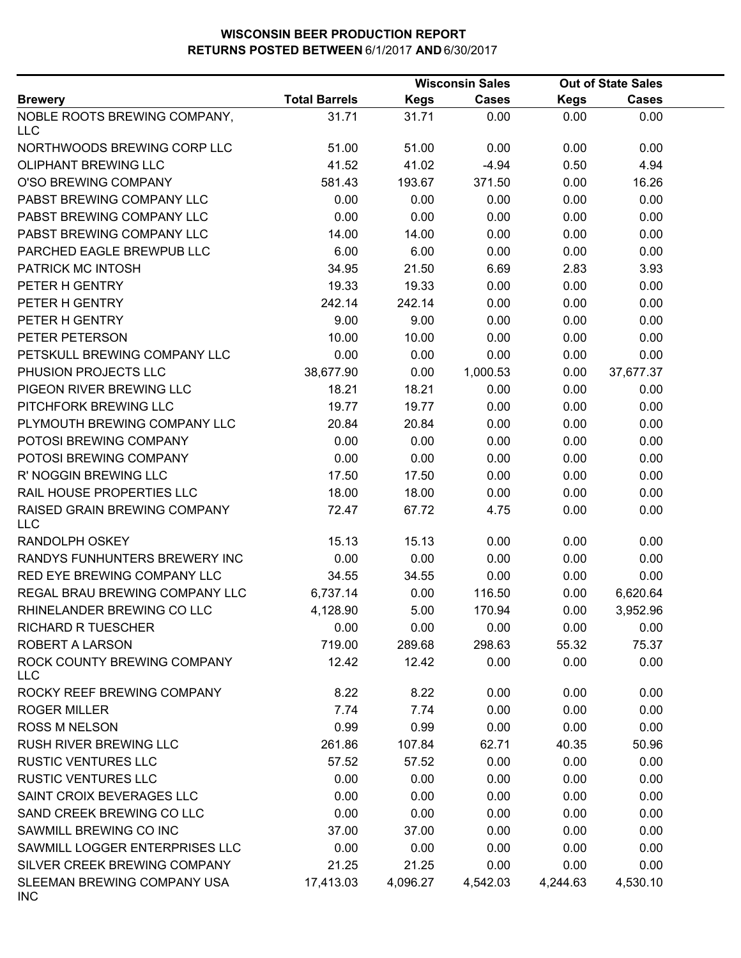|                                            |                      |             | <b>Wisconsin Sales</b> |             | <b>Out of State Sales</b> |  |
|--------------------------------------------|----------------------|-------------|------------------------|-------------|---------------------------|--|
| <b>Brewery</b>                             | <b>Total Barrels</b> | <b>Kegs</b> | <b>Cases</b>           | <b>Kegs</b> | <b>Cases</b>              |  |
| NOBLE ROOTS BREWING COMPANY,<br><b>LLC</b> | 31.71                | 31.71       | 0.00                   | 0.00        | 0.00                      |  |
| NORTHWOODS BREWING CORP LLC                | 51.00                | 51.00       | 0.00                   | 0.00        | 0.00                      |  |
| OLIPHANT BREWING LLC                       | 41.52                | 41.02       | $-4.94$                | 0.50        | 4.94                      |  |
| O'SO BREWING COMPANY                       | 581.43               | 193.67      | 371.50                 | 0.00        | 16.26                     |  |
| PABST BREWING COMPANY LLC                  | 0.00                 | 0.00        | 0.00                   | 0.00        | 0.00                      |  |
| PABST BREWING COMPANY LLC                  | 0.00                 | 0.00        | 0.00                   | 0.00        | 0.00                      |  |
| PABST BREWING COMPANY LLC                  | 14.00                | 14.00       | 0.00                   | 0.00        | 0.00                      |  |
| PARCHED EAGLE BREWPUB LLC                  | 6.00                 | 6.00        | 0.00                   | 0.00        | 0.00                      |  |
| PATRICK MC INTOSH                          | 34.95                | 21.50       | 6.69                   | 2.83        | 3.93                      |  |
| PETER H GENTRY                             | 19.33                | 19.33       | 0.00                   | 0.00        | 0.00                      |  |
| PETER H GENTRY                             | 242.14               | 242.14      | 0.00                   | 0.00        | 0.00                      |  |
| PETER H GENTRY                             | 9.00                 | 9.00        | 0.00                   | 0.00        | 0.00                      |  |
| PETER PETERSON                             | 10.00                | 10.00       | 0.00                   | 0.00        | 0.00                      |  |
| PETSKULL BREWING COMPANY LLC               | 0.00                 | 0.00        | 0.00                   | 0.00        | 0.00                      |  |
| PHUSION PROJECTS LLC                       | 38,677.90            | 0.00        | 1,000.53               | 0.00        | 37,677.37                 |  |
| PIGEON RIVER BREWING LLC                   | 18.21                | 18.21       | 0.00                   | 0.00        | 0.00                      |  |
| PITCHFORK BREWING LLC                      | 19.77                | 19.77       | 0.00                   | 0.00        | 0.00                      |  |
| PLYMOUTH BREWING COMPANY LLC               | 20.84                | 20.84       | 0.00                   | 0.00        | 0.00                      |  |
| POTOSI BREWING COMPANY                     | 0.00                 | 0.00        | 0.00                   | 0.00        | 0.00                      |  |
| POTOSI BREWING COMPANY                     | 0.00                 | 0.00        | 0.00                   | 0.00        | 0.00                      |  |
| R' NOGGIN BREWING LLC                      | 17.50                | 17.50       | 0.00                   | 0.00        | 0.00                      |  |
| RAIL HOUSE PROPERTIES LLC                  | 18.00                | 18.00       | 0.00                   | 0.00        | 0.00                      |  |
| RAISED GRAIN BREWING COMPANY<br><b>LLC</b> | 72.47                | 67.72       | 4.75                   | 0.00        | 0.00                      |  |
| RANDOLPH OSKEY                             | 15.13                | 15.13       | 0.00                   | 0.00        | 0.00                      |  |
| RANDYS FUNHUNTERS BREWERY INC              | 0.00                 | 0.00        | 0.00                   | 0.00        | 0.00                      |  |
| RED EYE BREWING COMPANY LLC                | 34.55                | 34.55       | 0.00                   | 0.00        | 0.00                      |  |
| REGAL BRAU BREWING COMPANY LLC             | 6,737.14             | 0.00        | 116.50                 | 0.00        | 6,620.64                  |  |
| RHINELANDER BREWING CO LLC                 | 4,128.90             | 5.00        | 170.94                 | 0.00        | 3,952.96                  |  |
| <b>RICHARD R TUESCHER</b>                  | 0.00                 | 0.00        | 0.00                   | 0.00        | 0.00                      |  |
| ROBERT A LARSON                            | 719.00               | 289.68      | 298.63                 | 55.32       | 75.37                     |  |
| ROCK COUNTY BREWING COMPANY<br><b>LLC</b>  | 12.42                | 12.42       | 0.00                   | 0.00        | 0.00                      |  |
| ROCKY REEF BREWING COMPANY                 | 8.22                 | 8.22        | 0.00                   | 0.00        | 0.00                      |  |
| <b>ROGER MILLER</b>                        | 7.74                 | 7.74        | 0.00                   | 0.00        | 0.00                      |  |
| <b>ROSS M NELSON</b>                       | 0.99                 | 0.99        | 0.00                   | 0.00        | 0.00                      |  |
| RUSH RIVER BREWING LLC                     | 261.86               | 107.84      | 62.71                  | 40.35       | 50.96                     |  |
| <b>RUSTIC VENTURES LLC</b>                 | 57.52                | 57.52       | 0.00                   | 0.00        | 0.00                      |  |
| <b>RUSTIC VENTURES LLC</b>                 | 0.00                 | 0.00        | 0.00                   | 0.00        | 0.00                      |  |
| SAINT CROIX BEVERAGES LLC                  | 0.00                 | 0.00        | 0.00                   | 0.00        | 0.00                      |  |
| SAND CREEK BREWING CO LLC                  | 0.00                 | 0.00        | 0.00                   | 0.00        | 0.00                      |  |
| SAWMILL BREWING CO INC                     | 37.00                | 37.00       | 0.00                   | 0.00        | 0.00                      |  |
| SAWMILL LOGGER ENTERPRISES LLC             | 0.00                 | 0.00        | 0.00                   | 0.00        | 0.00                      |  |
| SILVER CREEK BREWING COMPANY               | 21.25                | 21.25       | 0.00                   | 0.00        | 0.00                      |  |
| SLEEMAN BREWING COMPANY USA<br><b>INC</b>  | 17,413.03            | 4,096.27    | 4,542.03               | 4,244.63    | 4,530.10                  |  |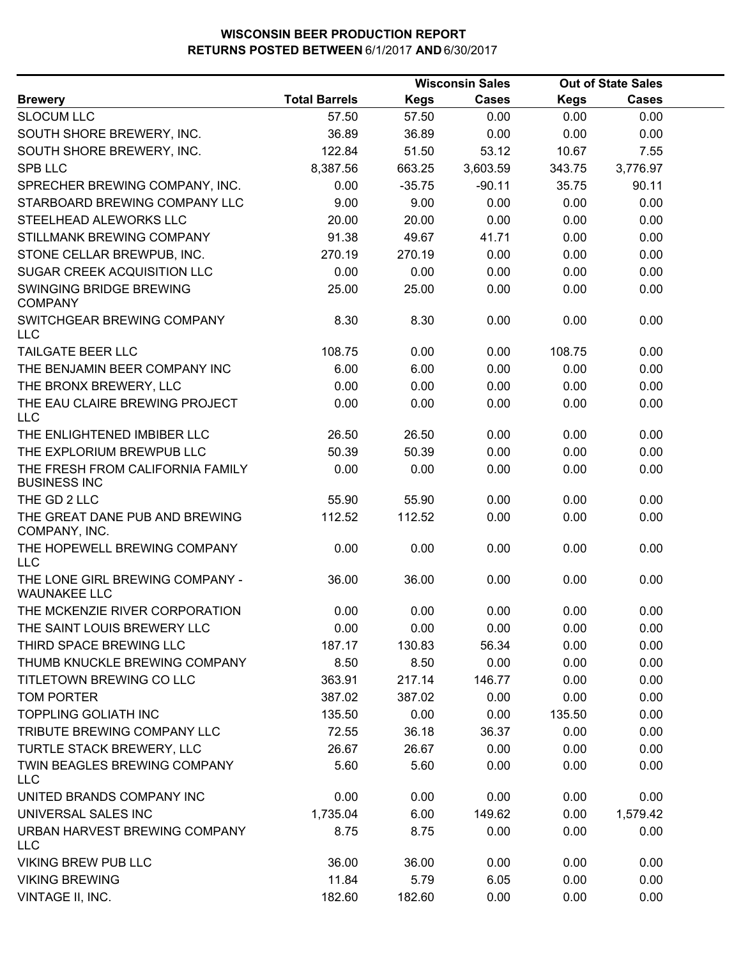|                                                         | <b>Wisconsin Sales</b> |          |              |             | <b>Out of State Sales</b> |  |
|---------------------------------------------------------|------------------------|----------|--------------|-------------|---------------------------|--|
| <b>Brewery</b>                                          | <b>Total Barrels</b>   | Kegs     | <b>Cases</b> | <b>Kegs</b> | <b>Cases</b>              |  |
| <b>SLOCUM LLC</b>                                       | 57.50                  | 57.50    | 0.00         | 0.00        | 0.00                      |  |
| SOUTH SHORE BREWERY, INC.                               | 36.89                  | 36.89    | 0.00         | 0.00        | 0.00                      |  |
| SOUTH SHORE BREWERY, INC.                               | 122.84                 | 51.50    | 53.12        | 10.67       | 7.55                      |  |
| <b>SPB LLC</b>                                          | 8,387.56               | 663.25   | 3,603.59     | 343.75      | 3,776.97                  |  |
| SPRECHER BREWING COMPANY, INC.                          | 0.00                   | $-35.75$ | $-90.11$     | 35.75       | 90.11                     |  |
| STARBOARD BREWING COMPANY LLC                           | 9.00                   | 9.00     | 0.00         | 0.00        | 0.00                      |  |
| STEELHEAD ALEWORKS LLC                                  | 20.00                  | 20.00    | 0.00         | 0.00        | 0.00                      |  |
| STILLMANK BREWING COMPANY                               | 91.38                  | 49.67    | 41.71        | 0.00        | 0.00                      |  |
| STONE CELLAR BREWPUB, INC.                              | 270.19                 | 270.19   | 0.00         | 0.00        | 0.00                      |  |
| SUGAR CREEK ACQUISITION LLC                             | 0.00                   | 0.00     | 0.00         | 0.00        | 0.00                      |  |
| SWINGING BRIDGE BREWING<br><b>COMPANY</b>               | 25.00                  | 25.00    | 0.00         | 0.00        | 0.00                      |  |
| SWITCHGEAR BREWING COMPANY<br><b>LLC</b>                | 8.30                   | 8.30     | 0.00         | 0.00        | 0.00                      |  |
| TAILGATE BEER LLC                                       | 108.75                 | 0.00     | 0.00         | 108.75      | 0.00                      |  |
| THE BENJAMIN BEER COMPANY INC                           | 6.00                   | 6.00     | 0.00         | 0.00        | 0.00                      |  |
| THE BRONX BREWERY, LLC                                  | 0.00                   | 0.00     | 0.00         | 0.00        | 0.00                      |  |
| THE EAU CLAIRE BREWING PROJECT<br><b>LLC</b>            | 0.00                   | 0.00     | 0.00         | 0.00        | 0.00                      |  |
| THE ENLIGHTENED IMBIBER LLC                             | 26.50                  | 26.50    | 0.00         | 0.00        | 0.00                      |  |
| THE EXPLORIUM BREWPUB LLC                               | 50.39                  | 50.39    | 0.00         | 0.00        | 0.00                      |  |
| THE FRESH FROM CALIFORNIA FAMILY<br><b>BUSINESS INC</b> | 0.00                   | 0.00     | 0.00         | 0.00        | 0.00                      |  |
| THE GD 2 LLC                                            | 55.90                  | 55.90    | 0.00         | 0.00        | 0.00                      |  |
| THE GREAT DANE PUB AND BREWING<br>COMPANY, INC.         | 112.52                 | 112.52   | 0.00         | 0.00        | 0.00                      |  |
| THE HOPEWELL BREWING COMPANY<br>LLC                     | 0.00                   | 0.00     | 0.00         | 0.00        | 0.00                      |  |
| THE LONE GIRL BREWING COMPANY -<br><b>WAUNAKEE LLC</b>  | 36.00                  | 36.00    | 0.00         | 0.00        | 0.00                      |  |
| THE MCKENZIE RIVER CORPORATION                          | 0.00                   | 0.00     | 0.00         | 0.00        | 0.00                      |  |
| THE SAINT LOUIS BREWERY LLC                             | 0.00                   | 0.00     | 0.00         | 0.00        | 0.00                      |  |
| THIRD SPACE BREWING LLC                                 | 187.17                 | 130.83   | 56.34        | 0.00        | 0.00                      |  |
| THUMB KNUCKLE BREWING COMPANY                           | 8.50                   | 8.50     | 0.00         | 0.00        | 0.00                      |  |
| TITLETOWN BREWING CO LLC                                | 363.91                 | 217.14   | 146.77       | 0.00        | 0.00                      |  |
| <b>TOM PORTER</b>                                       | 387.02                 | 387.02   | 0.00         | 0.00        | 0.00                      |  |
| <b>TOPPLING GOLIATH INC</b>                             | 135.50                 | 0.00     | 0.00         | 135.50      | 0.00                      |  |
| TRIBUTE BREWING COMPANY LLC                             | 72.55                  | 36.18    | 36.37        | 0.00        | 0.00                      |  |
| TURTLE STACK BREWERY, LLC                               | 26.67                  | 26.67    | 0.00         | 0.00        | 0.00                      |  |
| TWIN BEAGLES BREWING COMPANY<br>LLC                     | 5.60                   | 5.60     | 0.00         | 0.00        | 0.00                      |  |
| UNITED BRANDS COMPANY INC                               | 0.00                   | 0.00     | 0.00         | 0.00        | 0.00                      |  |
| UNIVERSAL SALES INC                                     | 1,735.04               | 6.00     | 149.62       | 0.00        | 1,579.42                  |  |
| URBAN HARVEST BREWING COMPANY<br>LLC                    | 8.75                   | 8.75     | 0.00         | 0.00        | 0.00                      |  |
| <b>VIKING BREW PUB LLC</b>                              | 36.00                  | 36.00    | 0.00         | 0.00        | 0.00                      |  |
| <b>VIKING BREWING</b>                                   | 11.84                  | 5.79     | 6.05         | 0.00        | 0.00                      |  |
| VINTAGE II, INC.                                        | 182.60                 | 182.60   | 0.00         | 0.00        | 0.00                      |  |